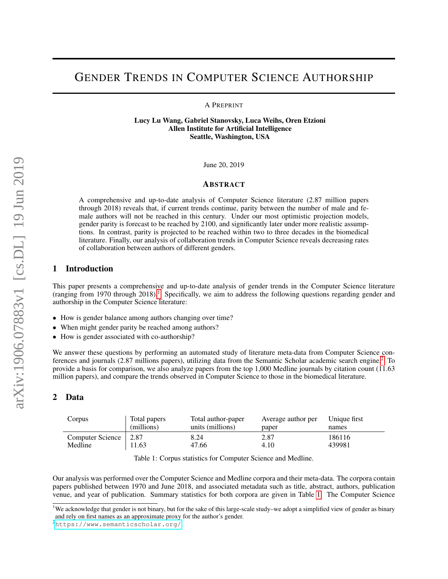# GENDER TRENDS IN COMPUTER SCIENCE AUTHORSHIP

A PREPRINT

Lucy Lu Wang, Gabriel Stanovsky, Luca Weihs, Oren Etzioni Allen Institute for Artificial Intelligence Seattle, Washington, USA

June 20, 2019

### ABSTRACT

A comprehensive and up-to-date analysis of Computer Science literature (2.87 million papers through 2018) reveals that, if current trends continue, parity between the number of male and female authors will not be reached in this century. Under our most optimistic projection models, gender parity is forecast to be reached by 2100, and significantly later under more realistic assumptions. In contrast, parity is projected to be reached within two to three decades in the biomedical literature. Finally, our analysis of collaboration trends in Computer Science reveals decreasing rates of collaboration between authors of different genders.

### 1 Introduction

This paper presents a comprehensive and up-to-date analysis of gender trends in the Computer Science literature (ranging from [1](#page-0-0)970 through 2018).<sup>1</sup> Specifically, we aim to address the following questions regarding gender and authorship in the Computer Science literature:

- How is gender balance among authors changing over time?
- When might gender parity be reached among authors?
- How is gender associated with co-authorship?

We answer these questions by performing an automated study of literature meta-data from Computer Science conferences and journals (2.87 millions papers), utilizing data from the Semantic Scholar academic search engine.[2](#page-0-1) To provide a basis for comparison, we also analyze papers from the top 1,000 Medline journals by citation count (11.63 million papers), and compare the trends observed in Computer Science to those in the biomedical literature.

# 2 Data

| Corpus           | Total papers | Total author-paper | Average author per | Unique first |
|------------------|--------------|--------------------|--------------------|--------------|
|                  | (millions)   | units (millions)   | paper              | names        |
| Computer Science | 2.87         | 8.24               | 2.87               | 186116       |
| Medline          | 11.63        | 47.66              | 4.10               | 439981       |

<span id="page-0-2"></span>Table 1: Corpus statistics for Computer Science and Medline.

Our analysis was performed over the Computer Science and Medline corpora and their meta-data. The corpora contain papers published between 1970 and June 2018, and associated metadata such as title, abstract, authors, publication venue, and year of publication. Summary statistics for both corpora are given in Table [1.](#page-0-2) The Computer Science

<span id="page-0-0"></span><sup>&</sup>lt;sup>1</sup>We acknowledge that gender is not binary, but for the sake of this large-scale study–we adopt a simplified view of gender as binary and rely on first names as an approximate proxy for the author's gender.

<span id="page-0-1"></span><sup>2</sup><https://www.semanticscholar.org/>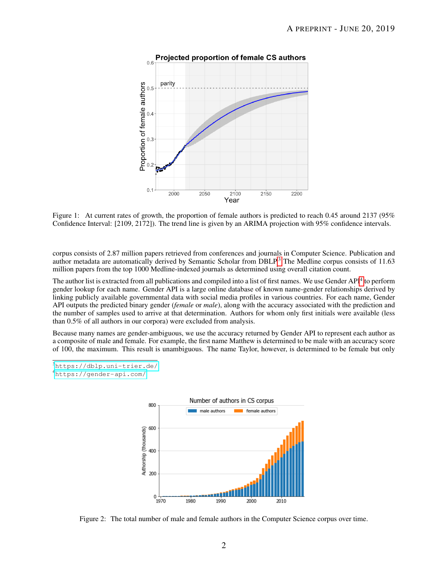

Projected proportion of female CS authors

<span id="page-1-3"></span>Figure 1: At current rates of growth, the proportion of female authors is predicted to reach 0.45 around 2137 (95%) Confidence Interval: [2109, 2172]). The trend line is given by an ARIMA projection with 95% confidence intervals.

corpus consists of 2.87 million papers retrieved from conferences and journals in Computer Science. Publication and author metadata are automatically derived by Semantic Scholar from DBLP.<sup>[3](#page-1-0)</sup> The Medline corpus consists of 11.63 million papers from the top 1000 Medline-indexed journals as determined using overall citation count.

The author list is extracted from all publications and compiled into a list of first names. We use Gender API<sup>[4](#page-1-1)</sup> to perform gender lookup for each name. Gender API is a large online database of known name-gender relationships derived by linking publicly available governmental data with social media profiles in various countries. For each name, Gender API outputs the predicted binary gender (*female* or *male*), along with the accuracy associated with the prediction and the number of samples used to arrive at that determination. Authors for whom only first initials were available (less than 0.5% of all authors in our corpora) were excluded from analysis.

Because many names are gender-ambiguous, we use the accuracy returned by Gender API to represent each author as a composite of male and female. For example, the first name Matthew is determined to be male with an accuracy score of 100, the maximum. This result is unambiguous. The name Taylor, however, is determined to be female but only

<span id="page-1-1"></span><sup>4</sup><https://gender-api.com/>



<span id="page-1-2"></span>Figure 2: The total number of male and female authors in the Computer Science corpus over time.

<span id="page-1-0"></span><sup>3</sup><https://dblp.uni-trier.de/>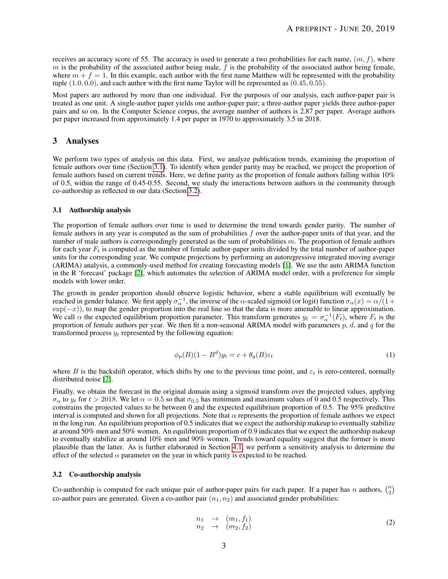receives an accuracy score of 55. The accuracy is used to generate a two probabilities for each name,  $(m, f)$ , where  $m$  is the probability of the associated author being male,  $f$  is the probability of the associated author being female, where  $m + f = 1$ . In this example, each author with the first name Matthew will be represented with the probability tuple  $(1.0, 0.0)$ , and each author with the first name Taylor will be represented as  $(0.45, 0.55)$ .

Most papers are authored by more than one individual. For the purposes of our analysis, each author-paper pair is treated as one unit. A single-author paper yields one author-paper pair; a three-author paper yields three author-paper pairs and so on. In the Computer Science corpus, the average number of authors is 2.87 per paper. Average authors per paper increased from approximately 1.4 per paper in 1970 to approximately 3.5 in 2018.

# 3 Analyses

We perform two types of analysis on this data. First, we analyze publication trends, examining the proportion of female authors over time (Section [3.1\)](#page-2-0). To identify when gender parity may be reached, we project the proportion of female authors based on current trends. Here, we define parity as the proportion of female authors falling within 10% of 0.5, within the range of 0.45-0.55. Second, we study the interactions between authors in the community through co-authorship as reflected in our data (Section [3.2\)](#page-2-1).

#### <span id="page-2-0"></span>3.1 Authorship analysis

The proportion of female authors over time is used to determine the trend towards gender parity. The number of female authors in any year is computed as the sum of probabilities  $f$  over the author-paper units of that year, and the number of male authors is correspondingly generated as the sum of probabilities  $m$ . The proportion of female authors for each year  $F_t$  is computed as the number of female author-paper units divided by the total number of author-paper units for the corresponding year. We compute projections by performing an autoregressive integrated moving average (ARIMA) analysis, a commonly-used method for creating forecasting models [\[1\]](#page-7-0). We use the auto ARIMA function in the R 'forecast' package [\[2\]](#page-7-1), which automates the selection of ARIMA model order, with a preference for simple models with lower order.

The growth in gender proportion should observe logistic behavior, where a stable equilibrium will eventually be reached in gender balance. We first apply  $\sigma_{\alpha}^{-1}$ , the inverse of the  $\alpha$ -scaled sigmoid (or logit) function  $\sigma_{\alpha}(x) = \alpha/(1 +$  $\exp(-x)$ , to map the gender proportion into the real line so that the data is more amenable to linear approximation. We call  $\alpha$  the expected equilibrium proportion parameter. This transform generates  $y_t = \sigma_{\alpha}^{-1}(F_t)$ , where  $F_t$  is the proportion of female authors per year. We then fit a non-seasonal ARIMA model with parameters  $p$ ,  $d$ , and  $q$  for the transformed process  $y_t$  represented by the following equation:

$$
\phi_p(B)(1 - B^d)y_t = c + \theta_q(B)\varepsilon_t
$$
\n(1)

where B is the backshift operator, which shifts by one to the previous time point, and  $\varepsilon_t$  is zero-centered, normally distributed noise [\[2\]](#page-7-1).

Finally, we obtain the forecast in the original domain using a sigmoid transform over the projected values, applying  $\sigma_{\alpha}$  to  $y_t$  for  $t > 2018$ . We let  $\alpha = 0.5$  so that  $\sigma_{0.5}$  has minimum and maximum values of 0 and 0.5 respectively. This constrains the projected values to be between 0 and the expected equilibrium proportion of 0.5. The 95% predictive interval is computed and shown for all projections. Note that  $\alpha$  represents the proportion of female authors we expect in the long run. An equilibrium proportion of 0.5 indicates that we expect the authorship makeup to eventually stabilize at around 50% men and 50% women. An equilibrium proportion of 0.9 indicates that we expect the authorship makeup to eventually stabilize at around 10% men and 90% women. Trends toward equality suggest that the former is more plausible than the latter. As is further elaborated in Section [4.1,](#page-3-0) we perform a sensitivity analysis to determine the effect of the selected  $\alpha$  parameter on the year in which parity is expected to be reached.

### <span id="page-2-1"></span>3.2 Co-authorship analysis

Co-authorship is computed for each unique pair of author-paper pairs for each paper. If a paper has n authors,  $\binom{n}{2}$ co-author pairs are generated. Given a co-author pair  $(n_1, n_2)$  and associated gender probabilities:

$$
n_1 \rightarrow (m_1, f_1) \n n_2 \rightarrow (m_2, f_2)
$$
\n(2)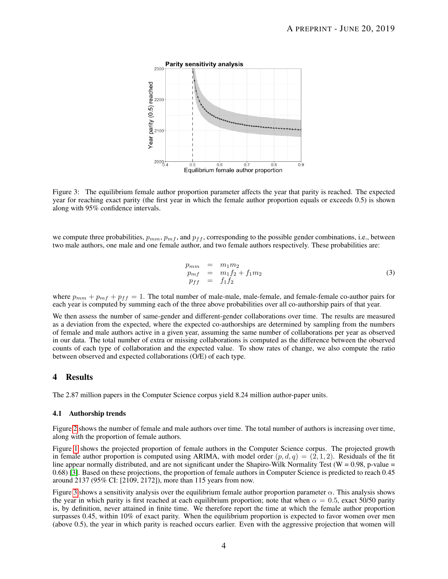

<span id="page-3-1"></span>Figure 3: The equilibrium female author proportion parameter affects the year that parity is reached. The expected year for reaching exact parity (the first year in which the female author proportion equals or exceeds 0.5) is shown along with 95% confidence intervals.

we compute three probabilities,  $p_{mm}$ ,  $p_{mf}$ , and  $p_{ff}$ , corresponding to the possible gender combinations, i.e., between two male authors, one male and one female author, and two female authors respectively. These probabilities are:

$$
p_{mm} = m_1 m_2 \n p_{mf} = m_1 f_2 + f_1 m_2 \n p_{ff} = f_1 f_2
$$
\n(3)

where  $p_{mm} + p_{mf} + p_{ff} = 1$ . The total number of male-male, male-female, and female-female co-author pairs for each year is computed by summing each of the three above probabilities over all co-authorship pairs of that year.

We then assess the number of same-gender and different-gender collaborations over time. The results are measured as a deviation from the expected, where the expected co-authorships are determined by sampling from the numbers of female and male authors active in a given year, assuming the same number of collaborations per year as observed in our data. The total number of extra or missing collaborations is computed as the difference between the observed counts of each type of collaboration and the expected value. To show rates of change, we also compute the ratio between observed and expected collaborations (O/E) of each type.

### 4 Results

The 2.87 million papers in the Computer Science corpus yield 8.24 million author-paper units.

#### <span id="page-3-0"></span>4.1 Authorship trends

Figure [2](#page-1-2) shows the number of female and male authors over time. The total number of authors is increasing over time, along with the proportion of female authors.

Figure [1](#page-1-3) shows the projected proportion of female authors in the Computer Science corpus. The projected growth in female author proportion is computed using ARIMA, with model order  $(p, d, q) = (2, 1, 2)$ . Residuals of the fit line appear normally distributed, and are not significant under the Shapiro-Wilk Normality Test ( $W = 0.98$ , p-value = 0.68) [\[3\]](#page-7-2). Based on these projections, the proportion of female authors in Computer Science is predicted to reach 0.45 around 2137 (95% CI: [2109, 2172]), more than 115 years from now.

Figure [3](#page-3-1) shows a sensitivity analysis over the equilibrium female author proportion parameter  $\alpha$ . This analysis shows the year in which parity is first reached at each equilibrium proportion; note that when  $\alpha = 0.5$ , exact 50/50 parity is, by definition, never attained in finite time. We therefore report the time at which the female author proportion surpasses 0.45, within 10% of exact parity. When the equilibrium proportion is expected to favor women over men (above 0.5), the year in which parity is reached occurs earlier. Even with the aggressive projection that women will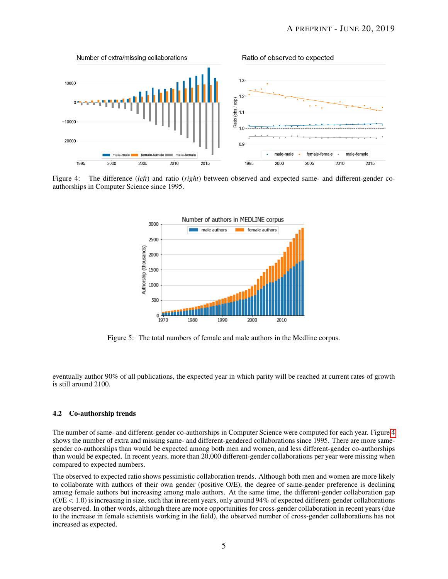

<span id="page-4-0"></span>Figure 4: The difference (*left*) and ratio (*right*) between observed and expected same- and different-gender coauthorships in Computer Science since 1995.



<span id="page-4-1"></span>Figure 5: The total numbers of female and male authors in the Medline corpus.

eventually author 90% of all publications, the expected year in which parity will be reached at current rates of growth is still around 2100.

#### 4.2 Co-authorship trends

The number of same- and different-gender co-authorships in Computer Science were computed for each year. Figure [4](#page-4-0) shows the number of extra and missing same- and different-gendered collaborations since 1995. There are more samegender co-authorships than would be expected among both men and women, and less different-gender co-authorships than would be expected. In recent years, more than 20,000 different-gender collaborations per year were missing when compared to expected numbers.

The observed to expected ratio shows pessimistic collaboration trends. Although both men and women are more likely to collaborate with authors of their own gender (positive O/E), the degree of same-gender preference is declining among female authors but increasing among male authors. At the same time, the different-gender collaboration gap  $(OE < 1.0)$  is increasing in size, such that in recent years, only around 94% of expected different-gender collaborations are observed. In other words, although there are more opportunities for cross-gender collaboration in recent years (due to the increase in female scientists working in the field), the observed number of cross-gender collaborations has not increased as expected.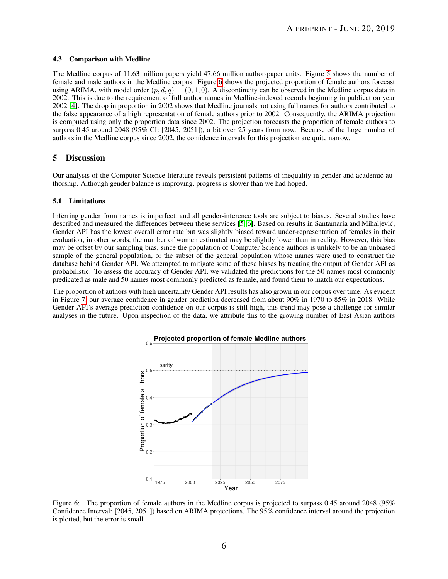#### 4.3 Comparison with Medline

The Medline corpus of 11.63 million papers yield 47.66 million author-paper units. Figure [5](#page-4-1) shows the number of female and male authors in the Medline corpus. Figure [6](#page-5-0) shows the projected proportion of female authors forecast using ARIMA, with model order  $(p, d, q) = (0, 1, 0)$ . A discontinuity can be observed in the Medline corpus data in 2002. This is due to the requirement of full author names in Medline-indexed records beginning in publication year 2002 [\[4\]](#page-7-3). The drop in proportion in 2002 shows that Medline journals not using full names for authors contributed to the false appearance of a high representation of female authors prior to 2002. Consequently, the ARIMA projection is computed using only the proportion data since 2002. The projection forecasts the proportion of female authors to surpass 0.45 around 2048 (95% CI: [2045, 2051]), a bit over 25 years from now. Because of the large number of authors in the Medline corpus since 2002, the confidence intervals for this projection are quite narrow.

### 5 Discussion

Our analysis of the Computer Science literature reveals persistent patterns of inequality in gender and academic authorship. Although gender balance is improving, progress is slower than we had hoped.

### 5.1 Limitations

Inferring gender from names is imperfect, and all gender-inference tools are subject to biases. Several studies have described and measured the differences between these services [\[5,](#page-7-4) [6\]](#page-7-5). Based on results in Santamaría and Mihaljević, Gender API has the lowest overall error rate but was slightly biased toward under-representation of females in their evaluation, in other words, the number of women estimated may be slightly lower than in reality. However, this bias may be offset by our sampling bias, since the population of Computer Science authors is unlikely to be an unbiased sample of the general population, or the subset of the general population whose names were used to construct the database behind Gender API. We attempted to mitigate some of these biases by treating the output of Gender API as probabilistic. To assess the accuracy of Gender API, we validated the predictions for the 50 names most commonly predicated as male and 50 names most commonly predicted as female, and found them to match our expectations.

The proportion of authors with high uncertainty Gender API results has also grown in our corpus over time. As evident in Figure [7,](#page-6-0) our average confidence in gender prediction decreased from about 90% in 1970 to 85% in 2018. While Gender API's average prediction confidence on our corpus is still high, this trend may pose a challenge for similar analyses in the future. Upon inspection of the data, we attribute this to the growing number of East Asian authors



<span id="page-5-0"></span>Figure 6: The proportion of female authors in the Medline corpus is projected to surpass 0.45 around 2048 (95% Confidence Interval: [2045, 2051]) based on ARIMA projections. The 95% confidence interval around the projection is plotted, but the error is small.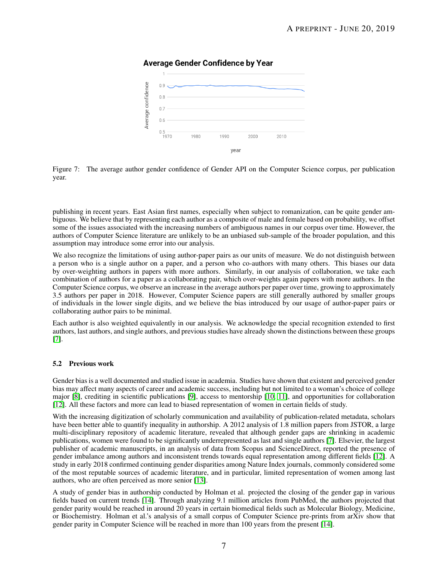# **Average Gender Confidence by Year**



<span id="page-6-0"></span>Figure 7: The average author gender confidence of Gender API on the Computer Science corpus, per publication year.

publishing in recent years. East Asian first names, especially when subject to romanization, can be quite gender ambiguous. We believe that by representing each author as a composite of male and female based on probability, we offset some of the issues associated with the increasing numbers of ambiguous names in our corpus over time. However, the authors of Computer Science literature are unlikely to be an unbiased sub-sample of the broader population, and this assumption may introduce some error into our analysis.

We also recognize the limitations of using author-paper pairs as our units of measure. We do not distinguish between a person who is a single author on a paper, and a person who co-authors with many others. This biases our data by over-weighting authors in papers with more authors. Similarly, in our analysis of collaboration, we take each combination of authors for a paper as a collaborating pair, which over-weights again papers with more authors. In the Computer Science corpus, we observe an increase in the average authors per paper over time, growing to approximately 3.5 authors per paper in 2018. However, Computer Science papers are still generally authored by smaller groups of individuals in the lower single digits, and we believe the bias introduced by our usage of author-paper pairs or collaborating author pairs to be minimal.

Each author is also weighted equivalently in our analysis. We acknowledge the special recognition extended to first authors, last authors, and single authors, and previous studies have already shown the distinctions between these groups [\[7\]](#page-7-6).

### 5.2 Previous work

Gender bias is a well documented and studied issue in academia. Studies have shown that existent and perceived gender bias may affect many aspects of career and academic success, including but not limited to a woman's choice of college major [\[8\]](#page-7-7), crediting in scientific publications [\[9\]](#page-7-8), access to mentorship [\[10,](#page-7-9) [11\]](#page-7-10), and opportunities for collaboration [\[12\]](#page-7-11). All these factors and more can lead to biased representation of women in certain fields of study.

With the increasing digitization of scholarly communication and availability of publication-related metadata, scholars have been better able to quantify inequality in authorship. A 2012 analysis of 1.8 million papers from JSTOR, a large multi-disciplinary repository of academic literature, revealed that although gender gaps are shrinking in academic publications, women were found to be significantly underrepresented as last and single authors [\[7\]](#page-7-6). Elsevier, the largest publisher of academic manuscripts, in an analysis of data from Scopus and ScienceDirect, reported the presence of gender imbalance among authors and inconsistent trends towards equal representation among different fields [\[12\]](#page-7-11). A study in early 2018 confirmed continuing gender disparities among Nature Index journals, commonly considered some of the most reputable sources of academic literature, and in particular, limited representation of women among last authors, who are often perceived as more senior [\[13\]](#page-7-12).

A study of gender bias in authorship conducted by Holman et al. projected the closing of the gender gap in various fields based on current trends [\[14\]](#page-7-13). Through analyzing 9.1 million articles from PubMed, the authors projected that gender parity would be reached in around 20 years in certain biomedical fields such as Molecular Biology, Medicine, or Biochemistry. Holman et al.'s analysis of a small corpus of Computer Science pre-prints from arXiv show that gender parity in Computer Science will be reached in more than 100 years from the present [\[14\]](#page-7-13).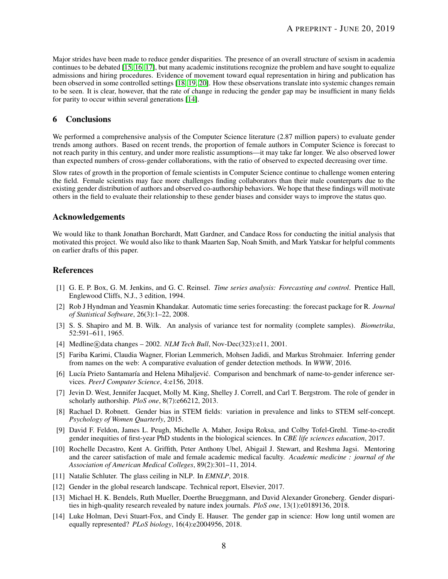Major strides have been made to reduce gender disparities. The presence of an overall structure of sexism in academia continues to be debated [\[15,](#page-8-0) [16,](#page-8-1) [17\]](#page-8-2), but many academic institutions recognize the problem and have sought to equalize admissions and hiring procedures. Evidence of movement toward equal representation in hiring and publication has been observed in some controlled settings [\[18,](#page-8-3) [19,](#page-8-4) [20\]](#page-8-5). How these observations translate into systemic changes remain to be seen. It is clear, however, that the rate of change in reducing the gender gap may be insufficient in many fields for parity to occur within several generations [\[14\]](#page-7-13).

# 6 Conclusions

We performed a comprehensive analysis of the Computer Science literature (2.87 million papers) to evaluate gender trends among authors. Based on recent trends, the proportion of female authors in Computer Science is forecast to not reach parity in this century, and under more realistic assumptions—it may take far longer. We also observed lower than expected numbers of cross-gender collaborations, with the ratio of observed to expected decreasing over time.

Slow rates of growth in the proportion of female scientists in Computer Science continue to challenge women entering the field. Female scientists may face more challenges finding collaborators than their male counterparts due to the existing gender distribution of authors and observed co-authorship behaviors. We hope that these findings will motivate others in the field to evaluate their relationship to these gender biases and consider ways to improve the status quo.

# Acknowledgements

We would like to thank Jonathan Borchardt, Matt Gardner, and Candace Ross for conducting the initial analysis that motivated this project. We would also like to thank Maarten Sap, Noah Smith, and Mark Yatskar for helpful comments on earlier drafts of this paper.

# **References**

- <span id="page-7-0"></span>[1] G. E. P. Box, G. M. Jenkins, and G. C. Reinsel. *Time series analysis: Forecasting and control*. Prentice Hall, Englewood Cliffs, N.J., 3 edition, 1994.
- <span id="page-7-1"></span>[2] Rob J Hyndman and Yeasmin Khandakar. Automatic time series forecasting: the forecast package for R. *Journal of Statistical Software*, 26(3):1–22, 2008.
- <span id="page-7-2"></span>[3] S. S. Shapiro and M. B. Wilk. An analysis of variance test for normality (complete samples). *Biometrika*, 52:591–611, 1965.
- <span id="page-7-3"></span>[4] Medline (R)data changes – 2002. *NLM Tech Bull*, Nov-Dec(323): e11, 2001.
- <span id="page-7-4"></span>[5] Fariba Karimi, Claudia Wagner, Florian Lemmerich, Mohsen Jadidi, and Markus Strohmaier. Inferring gender from names on the web: A comparative evaluation of gender detection methods. In *WWW*, 2016.
- <span id="page-7-5"></span>[6] Lucía Prieto Santamaría and Helena Mihaljević. Comparison and benchmark of name-to-gender inference services. *PeerJ Computer Science*, 4:e156, 2018.
- <span id="page-7-6"></span>[7] Jevin D. West, Jennifer Jacquet, Molly M. King, Shelley J. Correll, and Carl T. Bergstrom. The role of gender in scholarly authorship. *PloS one*, 8(7):e66212, 2013.
- <span id="page-7-7"></span>[8] Rachael D. Robnett. Gender bias in STEM fields: variation in prevalence and links to STEM self-concept. *Psychology of Women Quarterly*, 2015.
- <span id="page-7-8"></span>[9] David F. Feldon, James L. Peugh, Michelle A. Maher, Josipa Roksa, and Colby Tofel-Grehl. Time-to-credit gender inequities of first-year PhD students in the biological sciences. In *CBE life sciences education*, 2017.
- <span id="page-7-9"></span>[10] Rochelle Decastro, Kent A. Griffith, Peter Anthony Ubel, Abigail J. Stewart, and Reshma Jagsi. Mentoring and the career satisfaction of male and female academic medical faculty. *Academic medicine : journal of the Association of American Medical Colleges*, 89(2):301–11, 2014.
- <span id="page-7-10"></span>[11] Natalie Schluter. The glass ceiling in NLP. In *EMNLP*, 2018.
- <span id="page-7-11"></span>[12] Gender in the global research landscape. Technical report, Elsevier, 2017.
- <span id="page-7-12"></span>[13] Michael H. K. Bendels, Ruth Mueller, Doerthe Brueggmann, and David Alexander Groneberg. Gender disparities in high-quality research revealed by nature index journals. *PloS one*, 13(1):e0189136, 2018.
- <span id="page-7-13"></span>[14] Luke Holman, Devi Stuart-Fox, and Cindy E. Hauser. The gender gap in science: How long until women are equally represented? *PLoS biology*, 16(4):e2004956, 2018.